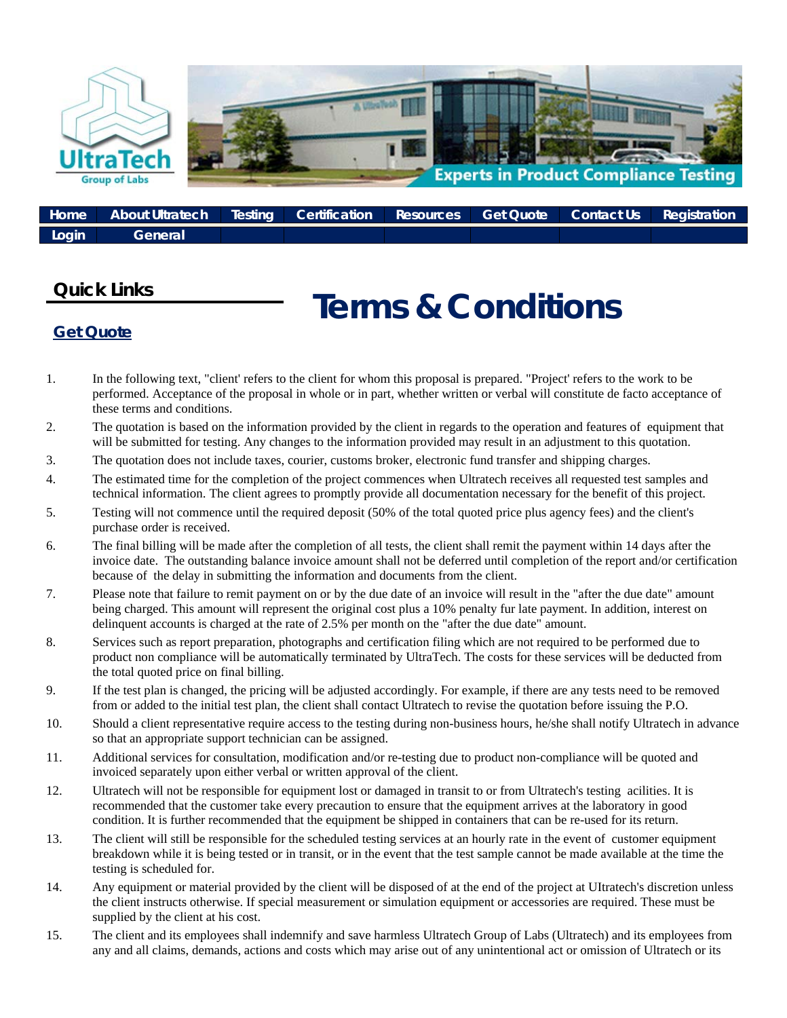

|         | Bome But About Ultratech Resting Certification Resources Get Quote Contact Us Registration |  |  |  |
|---------|--------------------------------------------------------------------------------------------|--|--|--|
| / Login | <b>General</b>                                                                             |  |  |  |

## **Quick Links**

## **Terms & Conditions**

## **Get Quote**

- 1. In the following text, "client' refers to the client for whom this proposal is prepared. "Project' refers to the work to be performed. Acceptance of the proposal in whole or in part, whether written or verbal will constitute de facto acceptance of these terms and conditions.
- 2. The quotation is based on the information provided by the client in regards to the operation and features of equipment that will be submitted for testing. Any changes to the information provided may result in an adjustment to this quotation.
- 3. The quotation does not include taxes, courier, customs broker, electronic fund transfer and shipping charges.
- 4. The estimated time for the completion of the project commences when Ultratech receives all requested test samples and technical information. The client agrees to promptly provide all documentation necessary for the benefit of this project.
- 5. Testing will not commence until the required deposit (50% of the total quoted price plus agency fees) and the client's purchase order is received.
- 6. The final billing will be made after the completion of all tests, the client shall remit the payment within 14 days after the invoice date. The outstanding balance invoice amount shall not be deferred until completion of the report and/or certification because of the delay in submitting the information and documents from the client.
- 7. Please note that failure to remit payment on or by the due date of an invoice will result in the "after the due date" amount being charged. This amount will represent the original cost plus a 10% penalty fur late payment. In addition, interest on delinquent accounts is charged at the rate of 2.5% per month on the "after the due date" amount.
- 8. Services such as report preparation, photographs and certification filing which are not required to be performed due to product non compliance will be automatically terminated by UltraTech. The costs for these services will be deducted from the total quoted price on final billing.
- 9. If the test plan is changed, the pricing will be adjusted accordingly. For example, if there are any tests need to be removed from or added to the initial test plan, the client shall contact Ultratech to revise the quotation before issuing the P.O.
- 10. Should a client representative require access to the testing during non-business hours, he/she shall notify Ultratech in advance so that an appropriate support technician can be assigned.
- 11. Additional services for consultation, modification and/or re-testing due to product non-compliance will be quoted and invoiced separately upon either verbal or written approval of the client.
- 12. Ultratech will not be responsible for equipment lost or damaged in transit to or from Ultratech's testing acilities. It is recommended that the customer take every precaution to ensure that the equipment arrives at the laboratory in good condition. It is further recommended that the equipment be shipped in containers that can be re-used for its return.
- 13. The client will still be responsible for the scheduled testing services at an hourly rate in the event of customer equipment breakdown while it is being tested or in transit, or in the event that the test sample cannot be made available at the time the testing is scheduled for.
- 14. Any equipment or material provided by the client will be disposed of at the end of the project at UItratech's discretion unless the client instructs otherwise. If special measurement or simulation equipment or accessories are required. These must be supplied by the client at his cost.
- 15. The client and its employees shall indemnify and save harmless Ultratech Group of Labs (Ultratech) and its employees from any and all claims, demands, actions and costs which may arise out of any unintentional act or omission of Ultratech or its